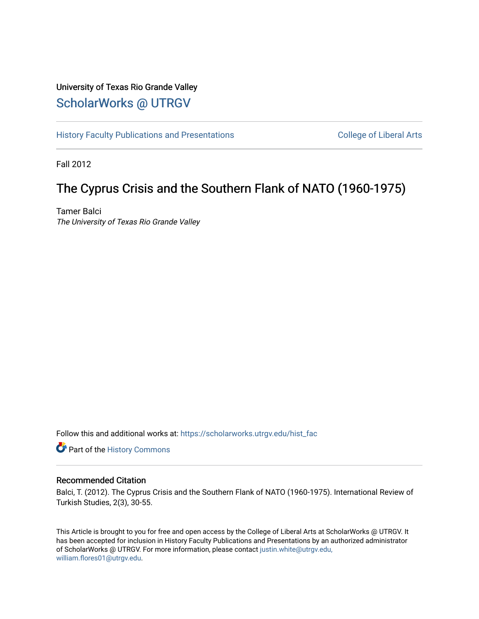# University of Texas Rio Grande Valley [ScholarWorks @ UTRGV](https://scholarworks.utrgv.edu/)

[History Faculty Publications and Presentations](https://scholarworks.utrgv.edu/hist_fac) **COLLEGE 12 College of Liberal Arts** 

Fall 2012

# The Cyprus Crisis and the Southern Flank of NATO (1960-1975)

Tamer Balci The University of Texas Rio Grande Valley

Follow this and additional works at: [https://scholarworks.utrgv.edu/hist\\_fac](https://scholarworks.utrgv.edu/hist_fac?utm_source=scholarworks.utrgv.edu%2Fhist_fac%2F95&utm_medium=PDF&utm_campaign=PDFCoverPages) 

**P** Part of the History Commons

# Recommended Citation

Balci, T. (2012). The Cyprus Crisis and the Southern Flank of NATO (1960-1975). International Review of Turkish Studies, 2(3), 30-55.

This Article is brought to you for free and open access by the College of Liberal Arts at ScholarWorks @ UTRGV. It has been accepted for inclusion in History Faculty Publications and Presentations by an authorized administrator of ScholarWorks @ UTRGV. For more information, please contact [justin.white@utrgv.edu,](mailto:justin.white@utrgv.edu,%20william.flores01@utrgv.edu) [william.flores01@utrgv.edu](mailto:justin.white@utrgv.edu,%20william.flores01@utrgv.edu).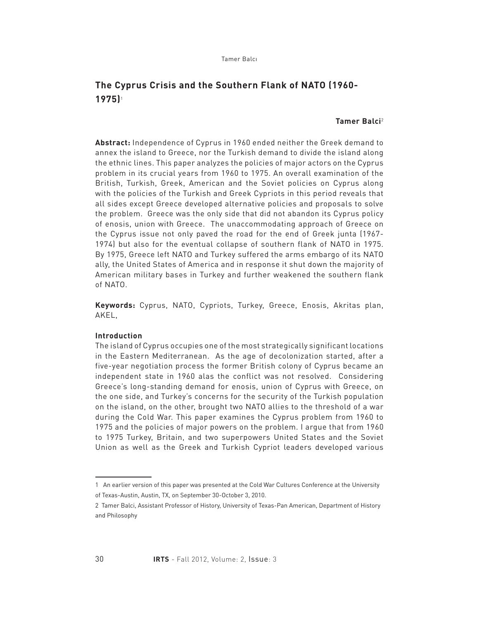# **The Cyprus Crisis and the Southern Flank of NATO (1960- 1975)**<sup>1</sup>

# **Tamer Balci**<sup>2</sup>

**Abstract:** Independence of Cyprus in 1960 ended neither the Greek demand to annex the island to Greece, nor the Turkish demand to divide the island along the ethnic lines. This paper analyzes the policies of major actors on the Cyprus problem in its crucial years from 1960 to 1975. An overall examination of the British, Turkish, Greek, American and the Soviet policies on Cyprus along with the policies of the Turkish and Greek Cypriots in this period reveals that all sides except Greece developed alternative policies and proposals to solve the problem. Greece was the only side that did not abandon its Cyprus policy of enosis, union with Greece. The unaccommodating approach of Greece on the Cyprus issue not only paved the road for the end of Greek junta (1967- 1974) but also for the eventual collapse of southern flank of NATO in 1975. By 1975, Greece left NATO and Turkey suffered the arms embargo of its NATO ally, the United States of America and in response it shut down the majority of American military bases in Turkey and further weakened the southern flank of NATO.

**Keywords:** Cyprus, NATO, Cypriots, Turkey, Greece, Enosis, Akritas plan, AKEL,

# **Introduction**

The island of Cyprus occupies one of the most strategically significant locations in the Eastern Mediterranean. As the age of decolonization started, after a five-year negotiation process the former British colony of Cyprus became an independent state in 1960 alas the conflict was not resolved. Considering Greece's long-standing demand for enosis, union of Cyprus with Greece, on the one side, and Turkey's concerns for the security of the Turkish population on the island, on the other, brought two NATO allies to the threshold of a war during the Cold War. This paper examines the Cyprus problem from 1960 to 1975 and the policies of major powers on the problem. I argue that from 1960 to 1975 Turkey, Britain, and two superpowers United States and the Soviet Union as well as the Greek and Turkish Cypriot leaders developed various

<sup>1</sup> An earlier version of this paper was presented at the Cold War Cultures Conference at the University of Texas-Austin, Austin, TX, on September 30-October 3, 2010.

<sup>2</sup> Tamer Balci, Assistant Professor of History, University of Texas-Pan American, Department of History and Philosophy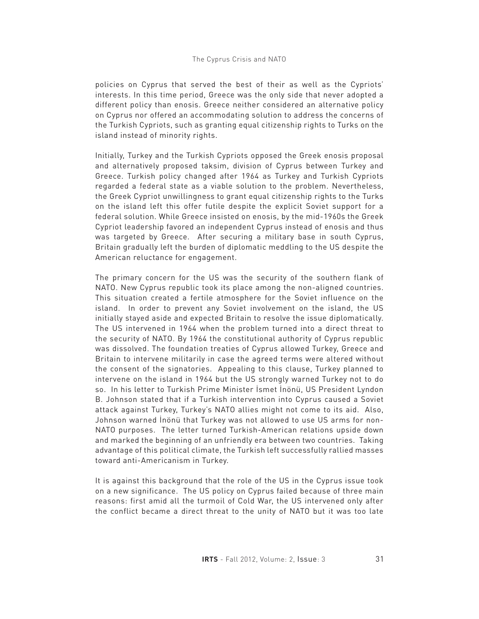policies on Cyprus that served the best of their as well as the Cypriots' interests. In this time period, Greece was the only side that never adopted a different policy than enosis. Greece neither considered an alternative policy on Cyprus nor offered an accommodating solution to address the concerns of the Turkish Cypriots, such as granting equal citizenship rights to Turks on the island instead of minority rights.

Initially, Turkey and the Turkish Cypriots opposed the Greek enosis proposal and alternatively proposed taksim, division of Cyprus between Turkey and Greece. Turkish policy changed after 1964 as Turkey and Turkish Cypriots regarded a federal state as a viable solution to the problem. Nevertheless, the Greek Cypriot unwillingness to grant equal citizenship rights to the Turks on the island left this offer futile despite the explicit Soviet support for a federal solution. While Greece insisted on enosis, by the mid-1960s the Greek Cypriot leadership favored an independent Cyprus instead of enosis and thus was targeted by Greece. After securing a military base in south Cyprus, Britain gradually left the burden of diplomatic meddling to the US despite the American reluctance for engagement.

The primary concern for the US was the security of the southern flank of NATO. New Cyprus republic took its place among the non-aligned countries. This situation created a fertile atmosphere for the Soviet influence on the island. In order to prevent any Soviet involvement on the island, the US initially stayed aside and expected Britain to resolve the issue diplomatically. The US intervened in 1964 when the problem turned into a direct threat to the security of NATO. By 1964 the constitutional authority of Cyprus republic was dissolved. The foundation treaties of Cyprus allowed Turkey, Greece and Britain to intervene militarily in case the agreed terms were altered without the consent of the signatories. Appealing to this clause, Turkey planned to intervene on the island in 1964 but the US strongly warned Turkey not to do so. In his letter to Turkish Prime Minister İsmet İnönü, US President Lyndon B. Johnson stated that if a Turkish intervention into Cyprus caused a Soviet attack against Turkey, Turkey's NATO allies might not come to its aid. Also, Johnson warned İnönü that Turkey was not allowed to use US arms for non-NATO purposes. The letter turned Turkish-American relations upside down and marked the beginning of an unfriendly era between two countries. Taking advantage of this political climate, the Turkish left successfully rallied masses toward anti-Americanism in Turkey.

It is against this background that the role of the US in the Cyprus issue took on a new significance. The US policy on Cyprus failed because of three main reasons: first amid all the turmoil of Cold War, the US intervened only after the conflict became a direct threat to the unity of NATO but it was too late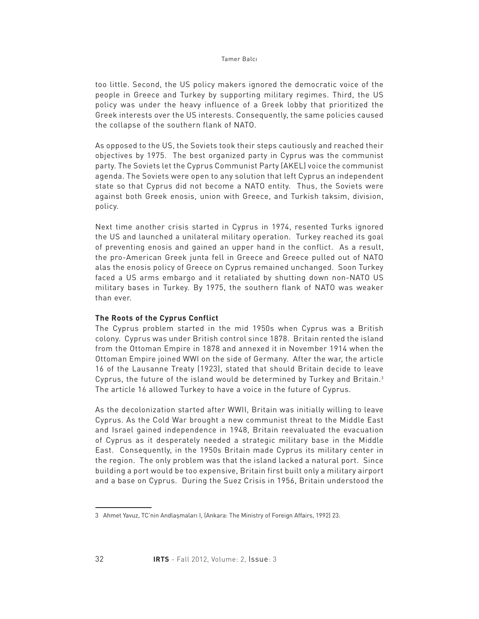too little. Second, the US policy makers ignored the democratic voice of the people in Greece and Turkey by supporting military regimes. Third, the US policy was under the heavy influence of a Greek lobby that prioritized the Greek interests over the US interests. Consequently, the same policies caused the collapse of the southern flank of NATO.

As opposed to the US, the Soviets took their steps cautiously and reached their objectives by 1975. The best organized party in Cyprus was the communist party. The Soviets let the Cyprus Communist Party (AKEL) voice the communist agenda. The Soviets were open to any solution that left Cyprus an independent state so that Cyprus did not become a NATO entity. Thus, the Soviets were against both Greek enosis, union with Greece, and Turkish taksim, division, policy.

Next time another crisis started in Cyprus in 1974, resented Turks ignored the US and launched a unilateral military operation. Turkey reached its goal of preventing enosis and gained an upper hand in the conflict. As a result, the pro-American Greek junta fell in Greece and Greece pulled out of NATO alas the enosis policy of Greece on Cyprus remained unchanged. Soon Turkey faced a US arms embargo and it retaliated by shutting down non-NATO US military bases in Turkey. By 1975, the southern flank of NATO was weaker than ever.

# **The Roots of the Cyprus Conflict**

The Cyprus problem started in the mid 1950s when Cyprus was a British colony. Cyprus was under British control since 1878. Britain rented the island from the Ottoman Empire in 1878 and annexed it in November 1914 when the Ottoman Empire joined WWI on the side of Germany. After the war, the article 16 of the Lausanne Treaty (1923), stated that should Britain decide to leave Cyprus, the future of the island would be determined by Turkey and Britain.3 The article 16 allowed Turkey to have a voice in the future of Cyprus.

As the decolonization started after WWII, Britain was initially willing to leave Cyprus. As the Cold War brought a new communist threat to the Middle East and Israel gained independence in 1948, Britain reevaluated the evacuation of Cyprus as it desperately needed a strategic military base in the Middle East. Consequently, in the 1950s Britain made Cyprus its military center in the region. The only problem was that the island lacked a natural port. Since building a port would be too expensive, Britain first built only a military airport and a base on Cyprus. During the Suez Crisis in 1956, Britain understood the

<sup>3</sup> Ahmet Yavuz, TC'nin Andlaşmaları I, (Ankara: The Ministry of Foreign Affairs, 1992) 23.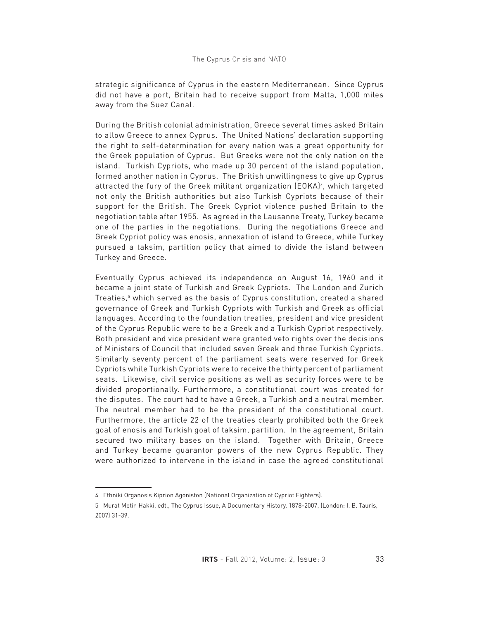strategic significance of Cyprus in the eastern Mediterranean. Since Cyprus did not have a port, Britain had to receive support from Malta, 1,000 miles away from the Suez Canal.

During the British colonial administration, Greece several times asked Britain to allow Greece to annex Cyprus. The United Nations' declaration supporting the right to self-determination for every nation was a great opportunity for the Greek population of Cyprus. But Greeks were not the only nation on the island. Turkish Cypriots, who made up 30 percent of the island population, formed another nation in Cyprus. The British unwillingness to give up Cyprus attracted the fury of the Greek militant organization (EOKA)4, which targeted not only the British authorities but also Turkish Cypriots because of their support for the British. The Greek Cypriot violence pushed Britain to the negotiation table after 1955. As agreed in the Lausanne Treaty, Turkey became one of the parties in the negotiations. During the negotiations Greece and Greek Cypriot policy was enosis, annexation of island to Greece, while Turkey pursued a taksim, partition policy that aimed to divide the island between Turkey and Greece.

Eventually Cyprus achieved its independence on August 16, 1960 and it became a joint state of Turkish and Greek Cypriots. The London and Zurich Treaties,5 which served as the basis of Cyprus constitution, created a shared governance of Greek and Turkish Cypriots with Turkish and Greek as official languages. According to the foundation treaties, president and vice president of the Cyprus Republic were to be a Greek and a Turkish Cypriot respectively. Both president and vice president were granted veto rights over the decisions of Ministers of Council that included seven Greek and three Turkish Cypriots. Similarly seventy percent of the parliament seats were reserved for Greek Cypriots while Turkish Cypriots were to receive the thirty percent of parliament seats. Likewise, civil service positions as well as security forces were to be divided proportionally. Furthermore, a constitutional court was created for the disputes. The court had to have a Greek, a Turkish and a neutral member. The neutral member had to be the president of the constitutional court. Furthermore, the article 22 of the treaties clearly prohibited both the Greek goal of enosis and Turkish goal of taksim, partition. In the agreement, Britain secured two military bases on the island. Together with Britain, Greece and Turkey became guarantor powers of the new Cyprus Republic. They were authorized to intervene in the island in case the agreed constitutional

<sup>4</sup> Ethniki Organosis Kiprion Agoniston (National Organization of Cypriot Fighters).

<sup>5</sup> Murat Metin Hakki, edt., The Cyprus Issue, A Documentary History, 1878-2007, (London: I. B. Tauris, 2007) 31-39.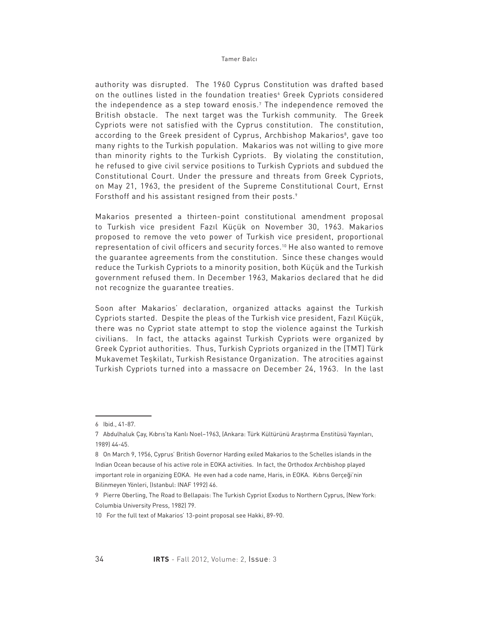authority was disrupted. The 1960 Cyprus Constitution was drafted based on the outlines listed in the foundation treaties<sup>。</sup>Greek Cypriots considered the independence as a step toward enosis.7 The independence removed the British obstacle. The next target was the Turkish community. The Greek Cypriots were not satisfied with the Cyprus constitution. The constitution, according to the Greek president of Cyprus, Archbishop Makarios®, gave too many rights to the Turkish population. Makarios was not willing to give more than minority rights to the Turkish Cypriots. By violating the constitution, he refused to give civil service positions to Turkish Cypriots and subdued the Constitutional Court. Under the pressure and threats from Greek Cypriots, on May 21, 1963, the president of the Supreme Constitutional Court, Ernst Forsthoff and his assistant resigned from their posts.<sup>9</sup>

Makarios presented a thirteen-point constitutional amendment proposal to Turkish vice president Fazıl Küçük on November 30, 1963. Makarios proposed to remove the veto power of Turkish vice president, proportional representation of civil officers and security forces.10 He also wanted to remove the guarantee agreements from the constitution. Since these changes would reduce the Turkish Cypriots to a minority position, both Küçük and the Turkish government refused them. In December 1963, Makarios declared that he did not recognize the guarantee treaties.

Soon after Makarios' declaration, organized attacks against the Turkish Cypriots started. Despite the pleas of the Turkish vice president, Fazıl Küçük, there was no Cypriot state attempt to stop the violence against the Turkish civilians. In fact, the attacks against Turkish Cypriots were organized by Greek Cypriot authorities. Thus, Turkish Cypriots organized in the (TMT) Türk Mukavemet Teşkilatı, Turkish Resistance Organization. The atrocities against Turkish Cypriots turned into a massacre on December 24, 1963. In the last

<sup>6</sup> Ibid., 41-87.

<sup>7</sup> Abdulhaluk Çay, Kıbrıs'ta Kanlı Noel–1963, (Ankara: Türk Kültürünü Araştırma Enstitüsü Yayınları, 1989) 44-45.

<sup>8</sup> On March 9, 1956, Cyprus' British Governor Harding exiled Makarios to the Schelles islands in the Indian Ocean because of his active role in EOKA activities. In fact, the Orthodox Archbishop played important role in organizing EOKA. He even had a code name, Haris, in EOKA. Kıbrıs Gerçeği'nin Bilinmeyen Yönleri, (Istanbul: INAF 1992) 46.

<sup>9</sup> Pierre Oberling, The Road to Bellapais: The Turkish Cypriot Exodus to Northern Cyprus, (New York: Columbia University Press, 1982) 79.

<sup>10</sup> For the full text of Makarios' 13-point proposal see Hakki, 89-90.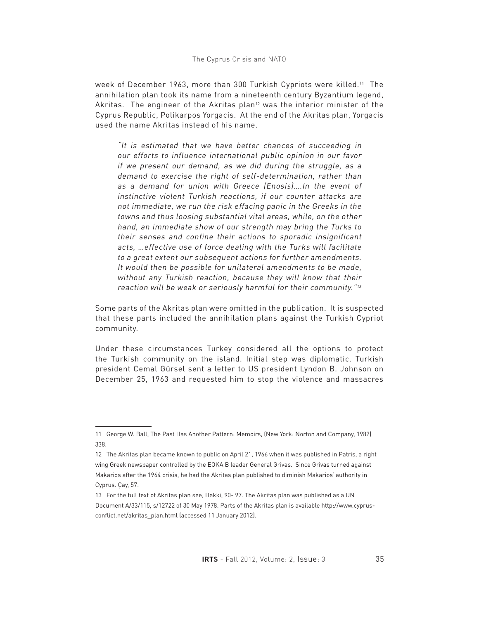## The Cyprus Crisis and NATO

week of December 1963, more than 300 Turkish Cypriots were killed.11 The annihilation plan took its name from a nineteenth century Byzantium legend, Akritas. The engineer of the Akritas plan<sup>12</sup> was the interior minister of the Cyprus Republic, Polikarpos Yorgacis. At the end of the Akritas plan, Yorgacis used the name Akritas instead of his name.

"It is estimated that we have better chances of succeeding in our efforts to influence international public opinion in our favor if we present our demand, as we did during the struggle, as a demand to exercise the right of self-determination, rather than as a demand for union with Greece (Enosis)….In the event of instinctive violent Turkish reactions, if our counter attacks are not immediate, we run the risk effacing panic in the Greeks in the towns and thus loosing substantial vital areas, while, on the other hand, an immediate show of our strength may bring the Turks to their senses and confine their actions to sporadic insignificant acts, …effective use of force dealing with the Turks will facilitate to a great extent our subsequent actions for further amendments. It would then be possible for unilateral amendments to be made, without any Turkish reaction, because they will know that their reaction will be weak or seriously harmful for their community."<sup>13</sup>

Some parts of the Akritas plan were omitted in the publication. It is suspected that these parts included the annihilation plans against the Turkish Cypriot community.

Under these circumstances Turkey considered all the options to protect the Turkish community on the island. Initial step was diplomatic. Turkish president Cemal Gürsel sent a letter to US president Lyndon B. Johnson on December 25, 1963 and requested him to stop the violence and massacres

<sup>11</sup> George W. Ball, The Past Has Another Pattern: Memoirs, (New York: Norton and Company, 1982) 338.

<sup>12</sup> The Akritas plan became known to public on April 21, 1966 when it was published in Patris, a right wing Greek newspaper controlled by the EOKA B leader General Grivas. Since Grivas turned against Makarios after the 1964 crisis, he had the Akritas plan published to diminish Makarios' authority in Cyprus. Çay, 57.

<sup>13</sup> For the full text of Akritas plan see, Hakki, 90- 97. The Akritas plan was published as a UN Document A/33/115, s/12722 of 30 May 1978. Parts of the Akritas plan is available http://www.cyprusconflict.net/akritas\_plan.html (accessed 11 January 2012).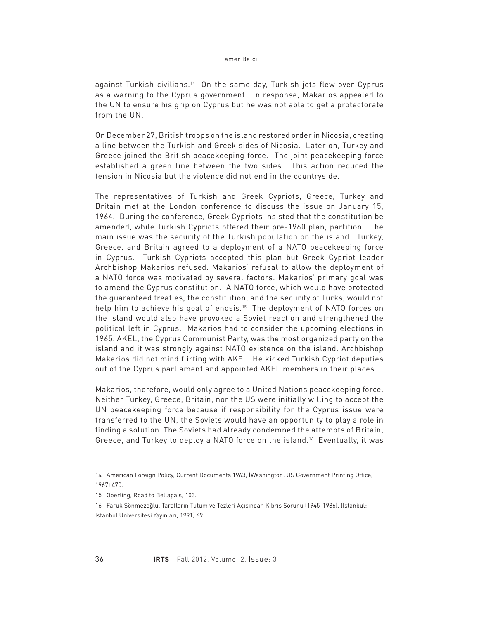against Turkish civilians.14 On the same day, Turkish jets flew over Cyprus as a warning to the Cyprus government. In response, Makarios appealed to the UN to ensure his grip on Cyprus but he was not able to get a protectorate from the UN.

On December 27, British troops on the island restored order in Nicosia, creating a line between the Turkish and Greek sides of Nicosia. Later on, Turkey and Greece joined the British peacekeeping force. The joint peacekeeping force established a green line between the two sides. This action reduced the tension in Nicosia but the violence did not end in the countryside.

The representatives of Turkish and Greek Cypriots, Greece, Turkey and Britain met at the London conference to discuss the issue on January 15, 1964. During the conference, Greek Cypriots insisted that the constitution be amended, while Turkish Cypriots offered their pre-1960 plan, partition. The main issue was the security of the Turkish population on the island. Turkey, Greece, and Britain agreed to a deployment of a NATO peacekeeping force in Cyprus. Turkish Cypriots accepted this plan but Greek Cypriot leader Archbishop Makarios refused. Makarios' refusal to allow the deployment of a NATO force was motivated by several factors. Makarios' primary goal was to amend the Cyprus constitution. A NATO force, which would have protected the guaranteed treaties, the constitution, and the security of Turks, would not help him to achieve his goal of enosis.<sup>15</sup> The deployment of NATO forces on the island would also have provoked a Soviet reaction and strengthened the political left in Cyprus. Makarios had to consider the upcoming elections in 1965. AKEL, the Cyprus Communist Party, was the most organized party on the island and it was strongly against NATO existence on the island. Archbishop Makarios did not mind flirting with AKEL. He kicked Turkish Cypriot deputies out of the Cyprus parliament and appointed AKEL members in their places.

Makarios, therefore, would only agree to a United Nations peacekeeping force. Neither Turkey, Greece, Britain, nor the US were initially willing to accept the UN peacekeeping force because if responsibility for the Cyprus issue were transferred to the UN, the Soviets would have an opportunity to play a role in finding a solution. The Soviets had already condemned the attempts of Britain, Greece, and Turkey to deploy a NATO force on the island.16 Eventually, it was

<sup>14</sup> American Foreign Policy, Current Documents 1963, (Washington: US Government Printing Office, 1967) 470.

<sup>15</sup> Oberling, Road to Bellapais, 103.

<sup>16</sup> Faruk Sönmezoğlu, Tarafların Tutum ve Tezleri Açısından Kıbrıs Sorunu (1945-1986), (Istanbul: Istanbul Universitesi Yayınları, 1991) 69.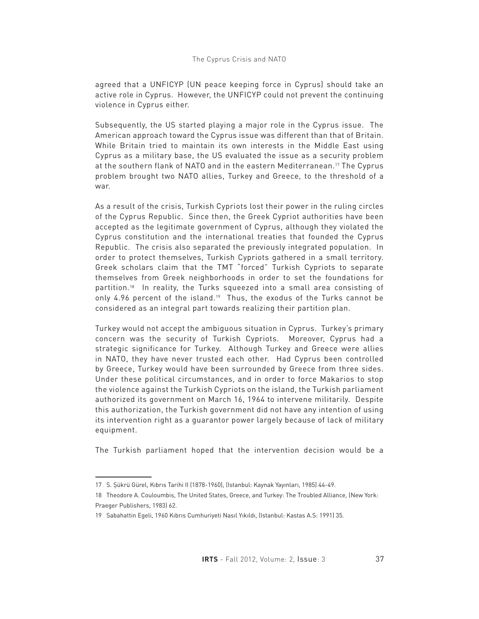# The Cyprus Crisis and NATO

agreed that a UNFICYP (UN peace keeping force in Cyprus) should take an active role in Cyprus. However, the UNFICYP could not prevent the continuing violence in Cyprus either.

Subsequently, the US started playing a major role in the Cyprus issue. The American approach toward the Cyprus issue was different than that of Britain. While Britain tried to maintain its own interests in the Middle East using Cyprus as a military base, the US evaluated the issue as a security problem at the southern flank of NATO and in the eastern Mediterranean.<sup>17</sup> The Cyprus problem brought two NATO allies, Turkey and Greece, to the threshold of a war.

As a result of the crisis, Turkish Cypriots lost their power in the ruling circles of the Cyprus Republic. Since then, the Greek Cypriot authorities have been accepted as the legitimate government of Cyprus, although they violated the Cyprus constitution and the international treaties that founded the Cyprus Republic. The crisis also separated the previously integrated population. In order to protect themselves, Turkish Cypriots gathered in a small territory. Greek scholars claim that the TMT "forced" Turkish Cypriots to separate themselves from Greek neighborhoods in order to set the foundations for partition.18 In reality, the Turks squeezed into a small area consisting of only 4.96 percent of the island.<sup>19</sup> Thus, the exodus of the Turks cannot be considered as an integral part towards realizing their partition plan.

Turkey would not accept the ambiguous situation in Cyprus. Turkey's primary concern was the security of Turkish Cypriots. Moreover, Cyprus had a strategic significance for Turkey. Although Turkey and Greece were allies in NATO, they have never trusted each other. Had Cyprus been controlled by Greece, Turkey would have been surrounded by Greece from three sides. Under these political circumstances, and in order to force Makarios to stop the violence against the Turkish Cypriots on the island, the Turkish parliament authorized its government on March 16, 1964 to intervene militarily. Despite this authorization, the Turkish government did not have any intention of using its intervention right as a guarantor power largely because of lack of military equipment.

The Turkish parliament hoped that the intervention decision would be a

<sup>17</sup> S. Şükrü Gürel, Kıbrıs Tarihi II (1878-1960), (Istanbul: Kaynak Yayınları, 1985) 44-49.

<sup>18</sup> Theodore A. Couloumbis, The United States, Greece, and Turkey: The Troubled Alliance, (New York: Praeger Publishers, 1983) 62.

<sup>19</sup> Sabahattin Egeli, 1960 Kıbrıs Cumhuriyeti Nasıl Yıkıldı, (Istanbul: Kastas A.S: 1991) 35.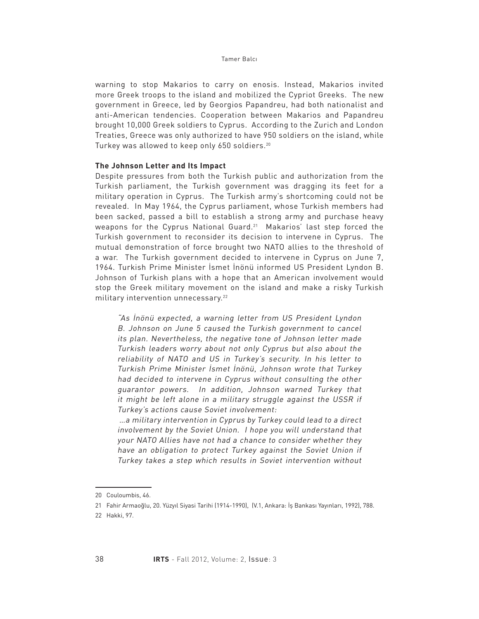warning to stop Makarios to carry on enosis. Instead, Makarios invited more Greek troops to the island and mobilized the Cypriot Greeks. The new government in Greece, led by Georgios Papandreu, had both nationalist and anti-American tendencies. Cooperation between Makarios and Papandreu brought 10,000 Greek soldiers to Cyprus. According to the Zurich and London Treaties, Greece was only authorized to have 950 soldiers on the island, while Turkey was allowed to keep only 650 soldiers.20

# **The Johnson Letter and Its Impact**

Despite pressures from both the Turkish public and authorization from the Turkish parliament, the Turkish government was dragging its feet for a military operation in Cyprus. The Turkish army's shortcoming could not be revealed. In May 1964, the Cyprus parliament, whose Turkish members had been sacked, passed a bill to establish a strong army and purchase heavy weapons for the Cyprus National Guard.21 Makarios' last step forced the Turkish government to reconsider its decision to intervene in Cyprus. The mutual demonstration of force brought two NATO allies to the threshold of a war. The Turkish government decided to intervene in Cyprus on June 7, 1964. Turkish Prime Minister İsmet İnönü informed US President Lyndon B. Johnson of Turkish plans with a hope that an American involvement would stop the Greek military movement on the island and make a risky Turkish military intervention unnecessary.<sup>22</sup>

"As İnönü expected, a warning letter from US President Lyndon B. Johnson on June 5 caused the Turkish government to cancel its plan. Nevertheless, the negative tone of Johnson letter made Turkish leaders worry about not only Cyprus but also about the reliability of NATO and US in Turkey's security. In his letter to Turkish Prime Minister İsmet İnönü, Johnson wrote that Turkey had decided to intervene in Cyprus without consulting the other guarantor powers. In addition, Johnson warned Turkey that it might be left alone in a military struggle against the USSR if Turkey's actions cause Soviet involvement:

 …a military intervention in Cyprus by Turkey could lead to a direct involvement by the Soviet Union. I hope you will understand that your NATO Allies have not had a chance to consider whether they have an obligation to protect Turkey against the Soviet Union if Turkey takes a step which results in Soviet intervention without

<sup>20</sup> Couloumbis, 46.

<sup>21</sup> Fahir Armaoğlu, 20. Yüzyıl Siyasi Tarihi (1914-1990), (V.1, Ankara: İş Bankası Yayınları, 1992), 788.

<sup>22</sup> Hakki, 97.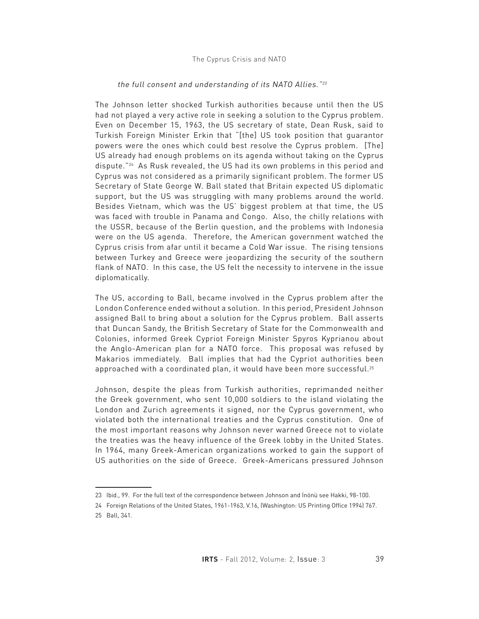# the full consent and understanding of its NATO Allies."<sup>23</sup>

The Johnson letter shocked Turkish authorities because until then the US had not played a very active role in seeking a solution to the Cyprus problem. Even on December 15, 1963, the US secretary of state, Dean Rusk, said to Turkish Foreign Minister Erkin that "[the] US took position that guarantor powers were the ones which could best resolve the Cyprus problem. [The] US already had enough problems on its agenda without taking on the Cyprus dispute."24 As Rusk revealed, the US had its own problems in this period and Cyprus was not considered as a primarily significant problem. The former US Secretary of State George W. Ball stated that Britain expected US diplomatic support, but the US was struggling with many problems around the world. Besides Vietnam, which was the US' biggest problem at that time, the US was faced with trouble in Panama and Congo. Also, the chilly relations with the USSR, because of the Berlin question, and the problems with Indonesia were on the US agenda. Therefore, the American government watched the Cyprus crisis from afar until it became a Cold War issue. The rising tensions between Turkey and Greece were jeopardizing the security of the southern flank of NATO. In this case, the US felt the necessity to intervene in the issue diplomatically.

The US, according to Ball, became involved in the Cyprus problem after the London Conference ended without a solution. In this period, President Johnson assigned Ball to bring about a solution for the Cyprus problem. Ball asserts that Duncan Sandy, the British Secretary of State for the Commonwealth and Colonies, informed Greek Cypriot Foreign Minister Spyros Kyprianou about the Anglo-American plan for a NATO force. This proposal was refused by Makarios immediately. Ball implies that had the Cypriot authorities been approached with a coordinated plan, it would have been more successful.25

Johnson, despite the pleas from Turkish authorities, reprimanded neither the Greek government, who sent 10,000 soldiers to the island violating the London and Zurich agreements it signed, nor the Cyprus government, who violated both the international treaties and the Cyprus constitution. One of the most important reasons why Johnson never warned Greece not to violate the treaties was the heavy influence of the Greek lobby in the United States. In 1964, many Greek-American organizations worked to gain the support of US authorities on the side of Greece. Greek-Americans pressured Johnson

<sup>23</sup> Ibid., 99. For the full text of the correspondence between Johnson and İnönü see Hakki, 98-100.

<sup>24</sup> Foreign Relations of the United States, 1961-1963, V.16, (Washington: US Printing Office 1994) 767.

<sup>25</sup> Ball, 341.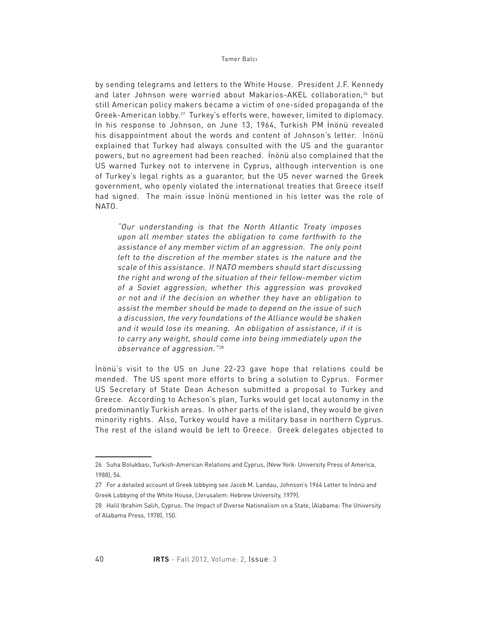by sending telegrams and letters to the White House. President J.F. Kennedy and later Johnson were worried about Makarios-AKEL collaboration,<sup>26</sup> but still American policy makers became a victim of one-sided propaganda of the Greek-American lobby.27 Turkey's efforts were, however, limited to diplomacy. In his response to Johnson, on June 13, 1964, Turkish PM İnönü revealed his disappointment about the words and content of Johnson's letter. İnönü explained that Turkey had always consulted with the US and the guarantor powers, but no agreement had been reached. İnönü also complained that the US warned Turkey not to intervene in Cyprus, although intervention is one of Turkey's legal rights as a guarantor, but the US never warned the Greek government, who openly violated the international treaties that Greece itself had signed. The main issue İnönü mentioned in his letter was the role of NATO.

"Our understanding is that the North Atlantic Treaty imposes upon all member states the obligation to come forthwith to the assistance of any member victim of an aggression. The only point left to the discretion of the member states is the nature and the scale of this assistance. If NATO members should start discussing the right and wrong of the situation of their fellow-member victim of a Soviet aggression, whether this aggression was provoked or not and if the decision on whether they have an obligation to assist the member should be made to depend on the issue of such a discussion, the very foundations of the Alliance would be shaken and it would lose its meaning. An obligation of assistance, if it is to carry any weight, should come into being immediately upon the observance of aggression."<sup>28</sup>

İnönü's visit to the US on June 22-23 gave hope that relations could be mended. The US spent more efforts to bring a solution to Cyprus. Former US Secretary of State Dean Acheson submitted a proposal to Turkey and Greece. According to Acheson's plan, Turks would get local autonomy in the predominantly Turkish areas. In other parts of the island, they would be given minority rights. Also, Turkey would have a military base in northern Cyprus. The rest of the island would be left to Greece. Greek delegates objected to

<sup>26</sup> Suha Bolukbası, Turkish-American Relations and Cyprus, (New York: University Press of America, 1988), 54.

<sup>27</sup> For a detailed account of Greek lobbying see Jacob M. Landau, Johnson's 1964 Letter to İnönü and Greek Lobbying of the White House, (Jerusalem: Hebrew University, 1979).

<sup>28</sup> Halil Ibrahim Salih, Cyprus: The Impact of Diverse Nationalism on a State, (Alabama: The University of Alabama Press, 1978), 150.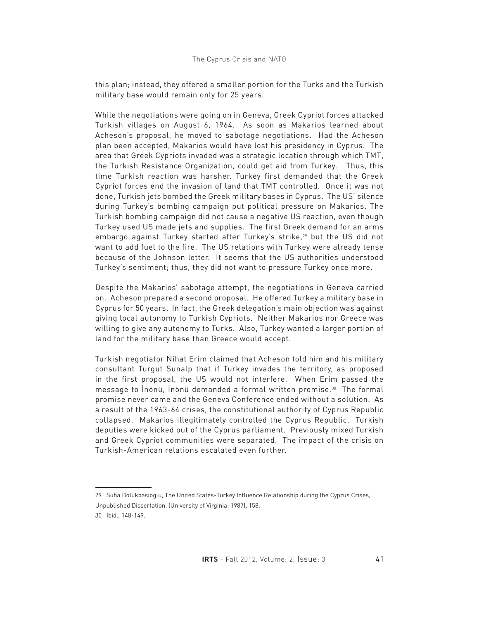# The Cyprus Crisis and NATO

this plan; instead, they offered a smaller portion for the Turks and the Turkish military base would remain only for 25 years.

While the negotiations were going on in Geneva, Greek Cypriot forces attacked Turkish villages on August 6, 1964. As soon as Makarios learned about Acheson's proposal, he moved to sabotage negotiations. Had the Acheson plan been accepted, Makarios would have lost his presidency in Cyprus. The area that Greek Cypriots invaded was a strategic location through which TMT, the Turkish Resistance Organization, could get aid from Turkey. Thus, this time Turkish reaction was harsher. Turkey first demanded that the Greek Cypriot forces end the invasion of land that TMT controlled. Once it was not done, Turkish jets bombed the Greek military bases in Cyprus. The US' silence during Turkey's bombing campaign put political pressure on Makarios. The Turkish bombing campaign did not cause a negative US reaction, even though Turkey used US made jets and supplies. The first Greek demand for an arms embargo against Turkey started after Turkey's strike,<sup>29</sup> but the US did not want to add fuel to the fire. The US relations with Turkey were already tense because of the Johnson letter. It seems that the US authorities understood Turkey's sentiment; thus, they did not want to pressure Turkey once more.

Despite the Makarios' sabotage attempt, the negotiations in Geneva carried on. Acheson prepared a second proposal. He offered Turkey a military base in Cyprus for 50 years. In fact, the Greek delegation's main objection was against giving local autonomy to Turkish Cypriots. Neither Makarios nor Greece was willing to give any autonomy to Turks. Also, Turkey wanted a larger portion of land for the military base than Greece would accept.

Turkish negotiator Nihat Erim claimed that Acheson told him and his military consultant Turgut Sunalp that if Turkey invades the territory, as proposed in the first proposal, the US would not interfere. When Erim passed the message to İnönü, İnönü demanded a formal written promise.30 The formal promise never came and the Geneva Conference ended without a solution. As a result of the 1963-64 crises, the constitutional authority of Cyprus Republic collapsed. Makarios illegitimately controlled the Cyprus Republic. Turkish deputies were kicked out of the Cyprus parliament. Previously mixed Turkish and Greek Cypriot communities were separated. The impact of the crisis on Turkish-American relations escalated even further.

<sup>29</sup> Suha Bolukbasioglu, The United States-Turkey Influence Relationship during the Cyprus Crises, Unpublished Dissertation, (University of Virginia: 1987), 158. 30 Ibid., 148-149.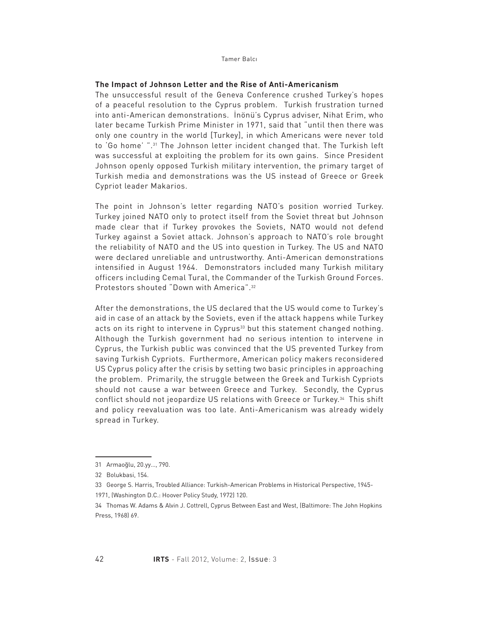## **The Impact of Johnson Letter and the Rise of Anti-Americanism**

The unsuccessful result of the Geneva Conference crushed Turkey's hopes of a peaceful resolution to the Cyprus problem. Turkish frustration turned into anti-American demonstrations. İnönü's Cyprus adviser, Nihat Erim, who later became Turkish Prime Minister in 1971, said that "until then there was only one country in the world [Turkey], in which Americans were never told to 'Go home' ".31 The Johnson letter incident changed that. The Turkish left was successful at exploiting the problem for its own gains. Since President Johnson openly opposed Turkish military intervention, the primary target of Turkish media and demonstrations was the US instead of Greece or Greek Cypriot leader Makarios.

The point in Johnson's letter regarding NATO's position worried Turkey. Turkey joined NATO only to protect itself from the Soviet threat but Johnson made clear that if Turkey provokes the Soviets, NATO would not defend Turkey against a Soviet attack. Johnson's approach to NATO's role brought the reliability of NATO and the US into question in Turkey. The US and NATO were declared unreliable and untrustworthy. Anti-American demonstrations intensified in August 1964. Demonstrators included many Turkish military officers including Cemal Tural, the Commander of the Turkish Ground Forces. Protestors shouted "Down with America".32

After the demonstrations, the US declared that the US would come to Turkey's aid in case of an attack by the Soviets, even if the attack happens while Turkey acts on its right to intervene in Cyprus<sup>33</sup> but this statement changed nothing. Although the Turkish government had no serious intention to intervene in Cyprus, the Turkish public was convinced that the US prevented Turkey from saving Turkish Cypriots. Furthermore, American policy makers reconsidered US Cyprus policy after the crisis by setting two basic principles in approaching the problem. Primarily, the struggle between the Greek and Turkish Cypriots should not cause a war between Greece and Turkey. Secondly, the Cyprus conflict should not jeopardize US relations with Greece or Turkey.<sup>34</sup> This shift and policy reevaluation was too late. Anti-Americanism was already widely spread in Turkey.

<sup>31</sup> Armaoğlu, 20.yy…, 790.

<sup>32</sup> Bolukbasi, 154.

<sup>33</sup> George S. Harris, Troubled Alliance: Turkish-American Problems in Historical Perspective, 1945-

<sup>1971, (</sup>Washington D.C.: Hoover Policy Study, 1972) 120.

<sup>34</sup> Thomas W. Adams & Alvin J. Cottrell, Cyprus Between East and West, (Baltimore: The John Hopkins Press, 1968) 69.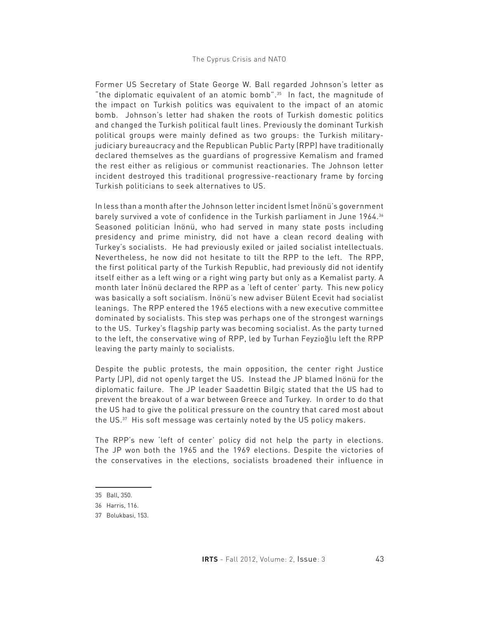Former US Secretary of State George W. Ball regarded Johnson's letter as "the diplomatic equivalent of an atomic bomb".35 In fact, the magnitude of the impact on Turkish politics was equivalent to the impact of an atomic bomb. Johnson's letter had shaken the roots of Turkish domestic politics and changed the Turkish political fault lines. Previously the dominant Turkish political groups were mainly defined as two groups: the Turkish militaryjudiciary bureaucracy and the Republican Public Party (RPP) have traditionally declared themselves as the guardians of progressive Kemalism and framed the rest either as religious or communist reactionaries. The Johnson letter incident destroyed this traditional progressive-reactionary frame by forcing Turkish politicians to seek alternatives to US.

In less than a month after the Johnson letter incident İsmet İnönü's government barely survived a vote of confidence in the Turkish parliament in June 1964.36 Seasoned politician İnönü, who had served in many state posts including presidency and prime ministry, did not have a clean record dealing with Turkey's socialists. He had previously exiled or jailed socialist intellectuals. Nevertheless, he now did not hesitate to tilt the RPP to the left. The RPP, the first political party of the Turkish Republic, had previously did not identify itself either as a left wing or a right wing party but only as a Kemalist party. A month later İnönü declared the RPP as a 'left of center' party. This new policy was basically a soft socialism. İnönü's new adviser Bülent Ecevit had socialist leanings. The RPP entered the 1965 elections with a new executive committee dominated by socialists. This step was perhaps one of the strongest warnings to the US. Turkey's flagship party was becoming socialist. As the party turned to the left, the conservative wing of RPP, led by Turhan Feyzioğlu left the RPP leaving the party mainly to socialists.

Despite the public protests, the main opposition, the center right Justice Party (JP), did not openly target the US. Instead the JP blamed İnönü for the diplomatic failure. The JP leader Saadettin Bilgiç stated that the US had to prevent the breakout of a war between Greece and Turkey. In order to do that the US had to give the political pressure on the country that cared most about the US.37 His soft message was certainly noted by the US policy makers.

The RPP's new 'left of center' policy did not help the party in elections. The JP won both the 1965 and the 1969 elections. Despite the victories of the conservatives in the elections, socialists broadened their influence in

<sup>35</sup> Ball, 350.

<sup>36</sup> Harris, 116.

<sup>37</sup> Bolukbasi, 153.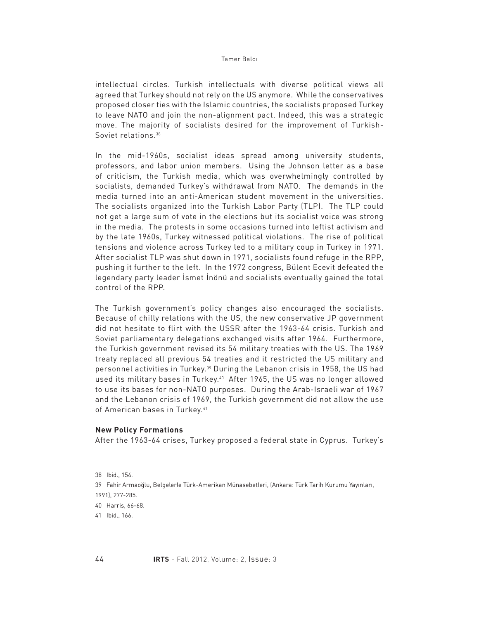intellectual circles. Turkish intellectuals with diverse political views all agreed that Turkey should not rely on the US anymore. While the conservatives proposed closer ties with the Islamic countries, the socialists proposed Turkey to leave NATO and join the non-alignment pact. Indeed, this was a strategic move. The majority of socialists desired for the improvement of Turkish-Soviet relations.<sup>38</sup>

In the mid-1960s, socialist ideas spread among university students, professors, and labor union members. Using the Johnson letter as a base of criticism, the Turkish media, which was overwhelmingly controlled by socialists, demanded Turkey's withdrawal from NATO. The demands in the media turned into an anti-American student movement in the universities. The socialists organized into the Turkish Labor Party (TLP). The TLP could not get a large sum of vote in the elections but its socialist voice was strong in the media. The protests in some occasions turned into leftist activism and by the late 1960s, Turkey witnessed political violations. The rise of political tensions and violence across Turkey led to a military coup in Turkey in 1971. After socialist TLP was shut down in 1971, socialists found refuge in the RPP, pushing it further to the left. In the 1972 congress, Bülent Ecevit defeated the legendary party leader İsmet İnönü and socialists eventually gained the total control of the RPP.

The Turkish government's policy changes also encouraged the socialists. Because of chilly relations with the US, the new conservative JP government did not hesitate to flirt with the USSR after the 1963-64 crisis. Turkish and Soviet parliamentary delegations exchanged visits after 1964. Furthermore, the Turkish government revised its 54 military treaties with the US. The 1969 treaty replaced all previous 54 treaties and it restricted the US military and personnel activities in Turkey.39 During the Lebanon crisis in 1958, the US had used its military bases in Turkey.40 After 1965, the US was no longer allowed to use its bases for non-NATO purposes. During the Arab-Israeli war of 1967 and the Lebanon crisis of 1969, the Turkish government did not allow the use of American bases in Turkey.<sup>41</sup>

## **New Policy Formations**

After the 1963-64 crises, Turkey proposed a federal state in Cyprus. Turkey's

<sup>38</sup> Ibid., 154.

<sup>39</sup> Fahir Armaoğlu, Belgelerle Türk-Amerikan Münasebetleri, (Ankara: Türk Tarih Kurumu Yayınları, 1991), 277-285.

<sup>40</sup> Harris, 66-68.

<sup>41</sup> Ibid., 166.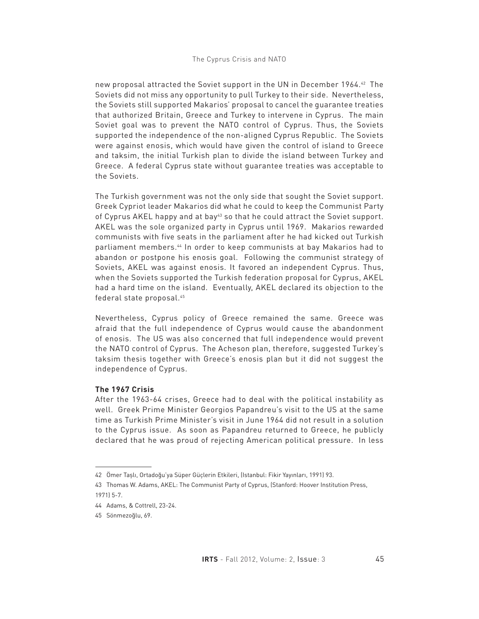new proposal attracted the Soviet support in the UN in December 1964.42 The Soviets did not miss any opportunity to pull Turkey to their side. Nevertheless, the Soviets still supported Makarios' proposal to cancel the guarantee treaties that authorized Britain, Greece and Turkey to intervene in Cyprus. The main Soviet goal was to prevent the NATO control of Cyprus. Thus, the Soviets supported the independence of the non-aligned Cyprus Republic. The Soviets were against enosis, which would have given the control of island to Greece and taksim, the initial Turkish plan to divide the island between Turkey and Greece. A federal Cyprus state without guarantee treaties was acceptable to the Soviets.

The Turkish government was not the only side that sought the Soviet support. Greek Cypriot leader Makarios did what he could to keep the Communist Party of Cyprus AKEL happy and at bay<sup>43</sup> so that he could attract the Soviet support. AKEL was the sole organized party in Cyprus until 1969. Makarios rewarded communists with five seats in the parliament after he had kicked out Turkish parliament members.44 In order to keep communists at bay Makarios had to abandon or postpone his enosis goal. Following the communist strategy of Soviets, AKEL was against enosis. It favored an independent Cyprus. Thus, when the Soviets supported the Turkish federation proposal for Cyprus, AKEL had a hard time on the island. Eventually, AKEL declared its objection to the federal state proposal.45

Nevertheless, Cyprus policy of Greece remained the same. Greece was afraid that the full independence of Cyprus would cause the abandonment of enosis. The US was also concerned that full independence would prevent the NATO control of Cyprus. The Acheson plan, therefore, suggested Turkey's taksim thesis together with Greece's enosis plan but it did not suggest the independence of Cyprus.

# **The 1967 Crisis**

After the 1963-64 crises, Greece had to deal with the political instability as well. Greek Prime Minister Georgios Papandreu's visit to the US at the same time as Turkish Prime Minister's visit in June 1964 did not result in a solution to the Cyprus issue. As soon as Papandreu returned to Greece, he publicly declared that he was proud of rejecting American political pressure. In less

<sup>42</sup> Ömer Taşlı, Ortadoğu'ya Süper Güçlerin Etkileri, (Istanbul: Fikir Yayınları, 1991) 93.

<sup>43</sup> Thomas W. Adams, AKEL: The Communist Party of Cyprus, (Stanford: Hoover Institution Press, 1971) 5-7.

<sup>44</sup> Adams, & Cottrell, 23-24.

<sup>45</sup> Sönmezoğlu, 69.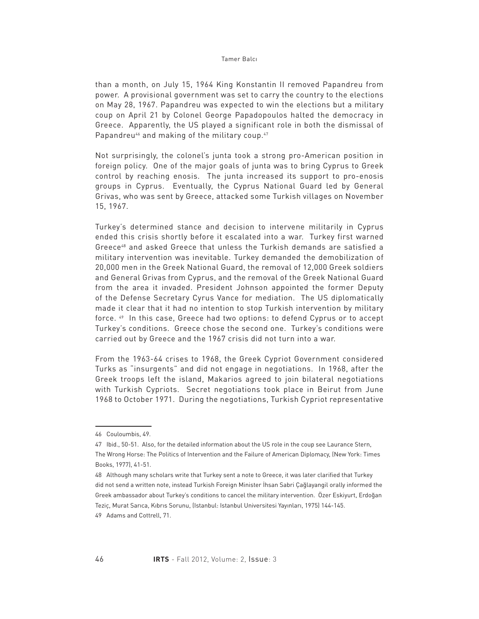than a month, on July 15, 1964 King Konstantin II removed Papandreu from power. A provisional government was set to carry the country to the elections on May 28, 1967. Papandreu was expected to win the elections but a military coup on April 21 by Colonel George Papadopoulos halted the democracy in Greece. Apparently, the US played a significant role in both the dismissal of Papandreu<sup>46</sup> and making of the military coup.<sup>47</sup>

Not surprisingly, the colonel's junta took a strong pro-American position in foreign policy. One of the major goals of junta was to bring Cyprus to Greek control by reaching enosis. The junta increased its support to pro-enosis groups in Cyprus. Eventually, the Cyprus National Guard led by General Grivas, who was sent by Greece, attacked some Turkish villages on November 15, 1967.

Turkey's determined stance and decision to intervene militarily in Cyprus ended this crisis shortly before it escalated into a war. Turkey first warned Greece48 and asked Greece that unless the Turkish demands are satisfied a military intervention was inevitable. Turkey demanded the demobilization of 20,000 men in the Greek National Guard, the removal of 12,000 Greek soldiers and General Grivas from Cyprus, and the removal of the Greek National Guard from the area it invaded. President Johnson appointed the former Deputy of the Defense Secretary Cyrus Vance for mediation. The US diplomatically made it clear that it had no intention to stop Turkish intervention by military force. 49 In this case, Greece had two options: to defend Cyprus or to accept Turkey's conditions. Greece chose the second one. Turkey's conditions were carried out by Greece and the 1967 crisis did not turn into a war.

From the 1963-64 crises to 1968, the Greek Cypriot Government considered Turks as "insurgents" and did not engage in negotiations. In 1968, after the Greek troops left the island, Makarios agreed to join bilateral negotiations with Turkish Cypriots. Secret negotiations took place in Beirut from June 1968 to October 1971. During the negotiations, Turkish Cypriot representative

<sup>46</sup> Couloumbis, 49.

<sup>47</sup> Ibid., 50-51. Also, for the detailed information about the US role in the coup see Laurance Stern, The Wrong Horse: The Politics of Intervention and the Failure of American Diplomacy, (New York: Times Books, 1977), 41-51.

<sup>48</sup> Although many scholars write that Turkey sent a note to Greece, it was later clarified that Turkey did not send a written note, instead Turkish Foreign Minister İhsan Sabri Çağlayangil orally informed the Greek ambassador about Turkey's conditions to cancel the military intervention. Özer Eskiyurt, Erdoğan Teziç, Murat Sarıca, Kıbrıs Sorunu, (Istanbul: Istanbul Universitesi Yayınları, 1975) 144-145. 49 Adams and Cottrell, 71.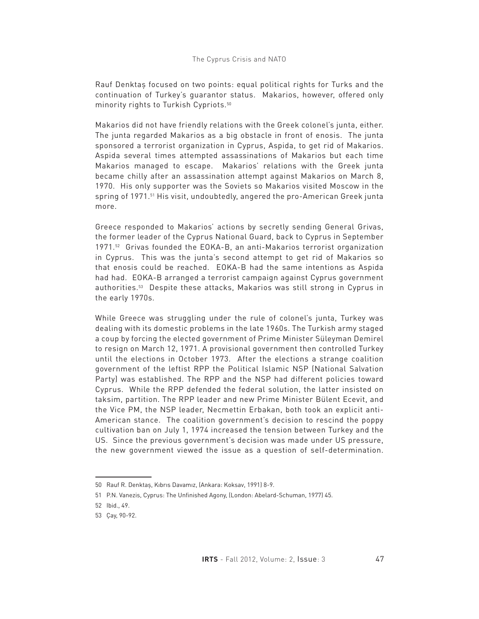Rauf Denktaş focused on two points: equal political rights for Turks and the continuation of Turkey's guarantor status. Makarios, however, offered only minority rights to Turkish Cypriots.50

Makarios did not have friendly relations with the Greek colonel's junta, either. The junta regarded Makarios as a big obstacle in front of enosis. The junta sponsored a terrorist organization in Cyprus, Aspida, to get rid of Makarios. Aspida several times attempted assassinations of Makarios but each time Makarios managed to escape. Makarios' relations with the Greek junta became chilly after an assassination attempt against Makarios on March 8, 1970. His only supporter was the Soviets so Makarios visited Moscow in the spring of 1971.<sup>51</sup> His visit, undoubtedly, angered the pro-American Greek junta more.

Greece responded to Makarios' actions by secretly sending General Grivas, the former leader of the Cyprus National Guard, back to Cyprus in September 1971.52 Grivas founded the EOKA-B, an anti-Makarios terrorist organization in Cyprus. This was the junta's second attempt to get rid of Makarios so that enosis could be reached. EOKA-B had the same intentions as Aspida had had. EOKA-B arranged a terrorist campaign against Cyprus government authorities.53 Despite these attacks, Makarios was still strong in Cyprus in the early 1970s.

While Greece was struggling under the rule of colonel's junta, Turkey was dealing with its domestic problems in the late 1960s. The Turkish army staged a coup by forcing the elected government of Prime Minister Süleyman Demirel to resign on March 12, 1971. A provisional government then controlled Turkey until the elections in October 1973. After the elections a strange coalition government of the leftist RPP the Political Islamic NSP (National Salvation Party) was established. The RPP and the NSP had different policies toward Cyprus. While the RPP defended the federal solution, the latter insisted on taksim, partition. The RPP leader and new Prime Minister Bülent Ecevit, and the Vice PM, the NSP leader, Necmettin Erbakan, both took an explicit anti-American stance. The coalition government's decision to rescind the poppy cultivation ban on July 1, 1974 increased the tension between Turkey and the US. Since the previous government's decision was made under US pressure, the new government viewed the issue as a question of self-determination.

<sup>50</sup> Rauf R. Denktaş, Kıbrıs Davamız, (Ankara: Koksav, 1991) 8-9.

<sup>51</sup> P.N. Vanezis, Cyprus: The Unfinished Agony, (London: Abelard-Schuman, 1977) 45.

<sup>52</sup> Ibid., 49.

<sup>53</sup> Çay, 90-92.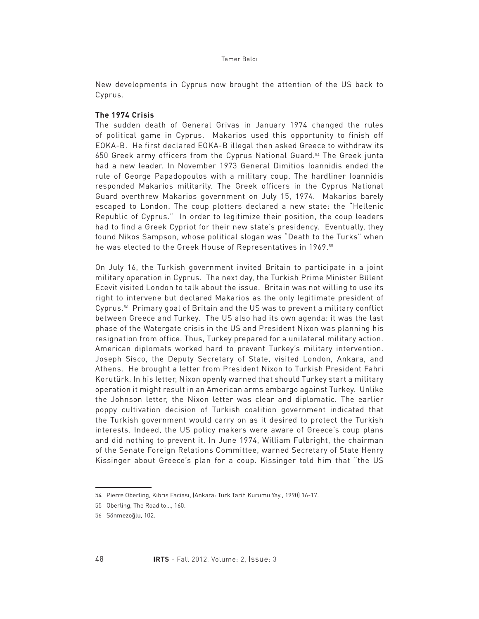New developments in Cyprus now brought the attention of the US back to Cyprus.

# **The 1974 Crisis**

The sudden death of General Grivas in January 1974 changed the rules of political game in Cyprus. Makarios used this opportunity to finish off EOKA-B. He first declared EOKA-B illegal then asked Greece to withdraw its 650 Greek army officers from the Cyprus National Guard.54 The Greek junta had a new leader. In November 1973 General Dimitios Ioannidis ended the rule of George Papadopoulos with a military coup. The hardliner Ioannidis responded Makarios militarily. The Greek officers in the Cyprus National Guard overthrew Makarios government on July 15, 1974. Makarios barely escaped to London. The coup plotters declared a new state: the "Hellenic Republic of Cyprus." In order to legitimize their position, the coup leaders had to find a Greek Cypriot for their new state's presidency. Eventually, they found Nikos Sampson, whose political slogan was "Death to the Turks" when he was elected to the Greek House of Representatives in 1969.<sup>55</sup>

On July 16, the Turkish government invited Britain to participate in a joint military operation in Cyprus. The next day, the Turkish Prime Minister Bülent Ecevit visited London to talk about the issue. Britain was not willing to use its right to intervene but declared Makarios as the only legitimate president of Cyprus.56 Primary goal of Britain and the US was to prevent a military conflict between Greece and Turkey. The US also had its own agenda: it was the last phase of the Watergate crisis in the US and President Nixon was planning his resignation from office. Thus, Turkey prepared for a unilateral military action. American diplomats worked hard to prevent Turkey's military intervention. Joseph Sisco, the Deputy Secretary of State, visited London, Ankara, and Athens. He brought a letter from President Nixon to Turkish President Fahri Korutürk. In his letter, Nixon openly warned that should Turkey start a military operation it might result in an American arms embargo against Turkey. Unlike the Johnson letter, the Nixon letter was clear and diplomatic. The earlier poppy cultivation decision of Turkish coalition government indicated that the Turkish government would carry on as it desired to protect the Turkish interests. Indeed, the US policy makers were aware of Greece's coup plans and did nothing to prevent it. In June 1974, William Fulbright, the chairman of the Senate Foreign Relations Committee, warned Secretary of State Henry Kissinger about Greece's plan for a coup. Kissinger told him that "the US

<sup>54</sup> Pierre Oberling, Kıbrıs Faciası, (Ankara: Turk Tarih Kurumu Yay., 1990) 16-17.

<sup>55</sup> Oberling, The Road to…, 160.

<sup>56</sup> Sönmezoğlu, 102.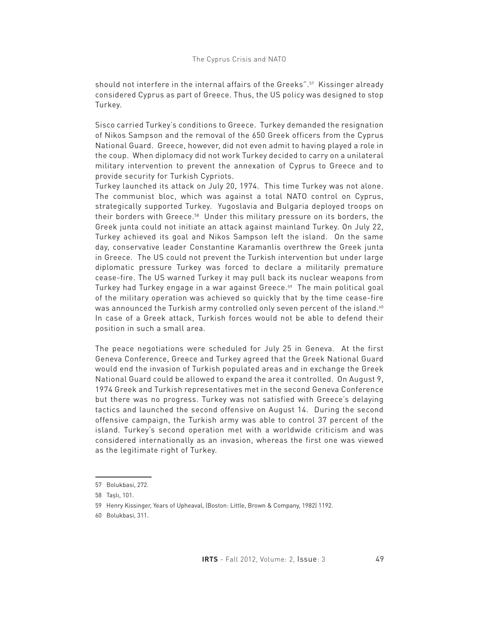should not interfere in the internal affairs of the Greeks".57 Kissinger already considered Cyprus as part of Greece. Thus, the US policy was designed to stop Turkey.

Sisco carried Turkey's conditions to Greece. Turkey demanded the resignation of Nikos Sampson and the removal of the 650 Greek officers from the Cyprus National Guard. Greece, however, did not even admit to having played a role in the coup. When diplomacy did not work Turkey decided to carry on a unilateral military intervention to prevent the annexation of Cyprus to Greece and to provide security for Turkish Cypriots.

Turkey launched its attack on July 20, 1974. This time Turkey was not alone. The communist bloc, which was against a total NATO control on Cyprus, strategically supported Turkey. Yugoslavia and Bulgaria deployed troops on their borders with Greece.58 Under this military pressure on its borders, the Greek junta could not initiate an attack against mainland Turkey. On July 22, Turkey achieved its goal and Nikos Sampson left the island. On the same day, conservative leader Constantine Karamanlis overthrew the Greek junta in Greece. The US could not prevent the Turkish intervention but under large diplomatic pressure Turkey was forced to declare a militarily premature cease-fire. The US warned Turkey it may pull back its nuclear weapons from Turkey had Turkey engage in a war against Greece.<sup>59</sup> The main political goal of the military operation was achieved so quickly that by the time cease-fire was announced the Turkish army controlled only seven percent of the island.<sup>60</sup> In case of a Greek attack, Turkish forces would not be able to defend their position in such a small area.

The peace negotiations were scheduled for July 25 in Geneva. At the first Geneva Conference, Greece and Turkey agreed that the Greek National Guard would end the invasion of Turkish populated areas and in exchange the Greek National Guard could be allowed to expand the area it controlled. On August 9, 1974 Greek and Turkish representatives met in the second Geneva Conference but there was no progress. Turkey was not satisfied with Greece's delaying tactics and launched the second offensive on August 14. During the second offensive campaign, the Turkish army was able to control 37 percent of the island. Turkey's second operation met with a worldwide criticism and was considered internationally as an invasion, whereas the first one was viewed as the legitimate right of Turkey.

<sup>57</sup> Bolukbasi, 272.

<sup>58</sup> Taşlı, 101.

<sup>59</sup> Henry Kissinger, Years of Upheaval, (Boston: Little, Brown & Company, 1982) 1192.

<sup>60</sup> Bolukbasi, 311.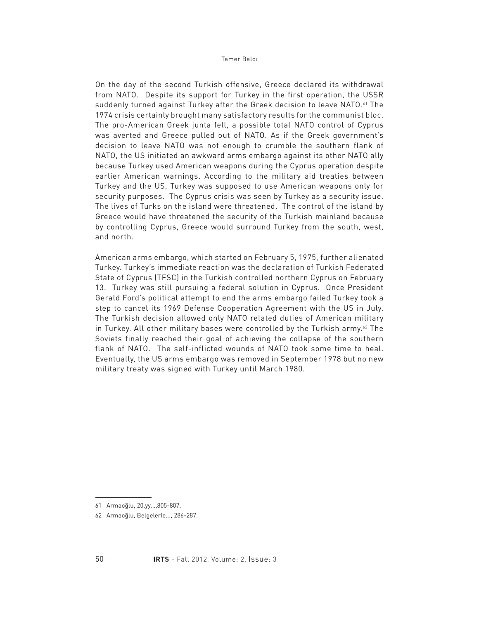On the day of the second Turkish offensive, Greece declared its withdrawal from NATO. Despite its support for Turkey in the first operation, the USSR suddenly turned against Turkey after the Greek decision to leave NATO.<sup>61</sup> The 1974 crisis certainly brought many satisfactory results for the communist bloc. The pro-American Greek junta fell, a possible total NATO control of Cyprus was averted and Greece pulled out of NATO. As if the Greek government's decision to leave NATO was not enough to crumble the southern flank of NATO, the US initiated an awkward arms embargo against its other NATO ally because Turkey used American weapons during the Cyprus operation despite earlier American warnings. According to the military aid treaties between Turkey and the US, Turkey was supposed to use American weapons only for security purposes. The Cyprus crisis was seen by Turkey as a security issue. The lives of Turks on the island were threatened. The control of the island by Greece would have threatened the security of the Turkish mainland because by controlling Cyprus, Greece would surround Turkey from the south, west, and north.

American arms embargo, which started on February 5, 1975, further alienated Turkey. Turkey's immediate reaction was the declaration of Turkish Federated State of Cyprus (TFSC) in the Turkish controlled northern Cyprus on February 13. Turkey was still pursuing a federal solution in Cyprus. Once President Gerald Ford's political attempt to end the arms embargo failed Turkey took a step to cancel its 1969 Defense Cooperation Agreement with the US in July. The Turkish decision allowed only NATO related duties of American military in Turkey. All other military bases were controlled by the Turkish army. $62$  The Soviets finally reached their goal of achieving the collapse of the southern flank of NATO. The self-inflicted wounds of NATO took some time to heal. Eventually, the US arms embargo was removed in September 1978 but no new military treaty was signed with Turkey until March 1980.

<sup>61</sup> Armaoğlu, 20.yy…,805-807.

<sup>62</sup> Armaoğlu, Belgelerle..., 286-287.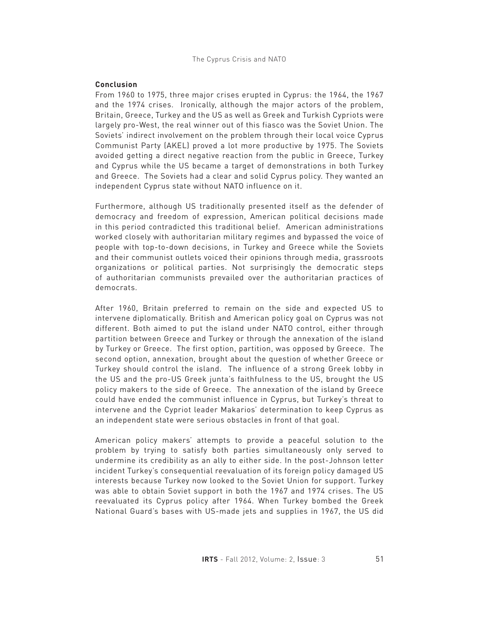## The Cyprus Crisis and NATO

# **Conclusion**

From 1960 to 1975, three major crises erupted in Cyprus: the 1964, the 1967 and the 1974 crises. Ironically, although the major actors of the problem, Britain, Greece, Turkey and the US as well as Greek and Turkish Cypriots were largely pro-West, the real winner out of this fiasco was the Soviet Union. The Soviets' indirect involvement on the problem through their local voice Cyprus Communist Party (AKEL) proved a lot more productive by 1975. The Soviets avoided getting a direct negative reaction from the public in Greece, Turkey and Cyprus while the US became a target of demonstrations in both Turkey and Greece. The Soviets had a clear and solid Cyprus policy. They wanted an independent Cyprus state without NATO influence on it.

Furthermore, although US traditionally presented itself as the defender of democracy and freedom of expression, American political decisions made in this period contradicted this traditional belief. American administrations worked closely with authoritarian military regimes and bypassed the voice of people with top-to-down decisions, in Turkey and Greece while the Soviets and their communist outlets voiced their opinions through media, grassroots organizations or political parties. Not surprisingly the democratic steps of authoritarian communists prevailed over the authoritarian practices of democrats.

After 1960, Britain preferred to remain on the side and expected US to intervene diplomatically. British and American policy goal on Cyprus was not different. Both aimed to put the island under NATO control, either through partition between Greece and Turkey or through the annexation of the island by Turkey or Greece. The first option, partition, was opposed by Greece. The second option, annexation, brought about the question of whether Greece or Turkey should control the island. The influence of a strong Greek lobby in the US and the pro-US Greek junta's faithfulness to the US, brought the US policy makers to the side of Greece. The annexation of the island by Greece could have ended the communist influence in Cyprus, but Turkey's threat to intervene and the Cypriot leader Makarios' determination to keep Cyprus as an independent state were serious obstacles in front of that goal.

American policy makers' attempts to provide a peaceful solution to the problem by trying to satisfy both parties simultaneously only served to undermine its credibility as an ally to either side. In the post-Johnson letter incident Turkey's consequential reevaluation of its foreign policy damaged US interests because Turkey now looked to the Soviet Union for support. Turkey was able to obtain Soviet support in both the 1967 and 1974 crises. The US reevaluated its Cyprus policy after 1964. When Turkey bombed the Greek National Guard's bases with US-made jets and supplies in 1967, the US did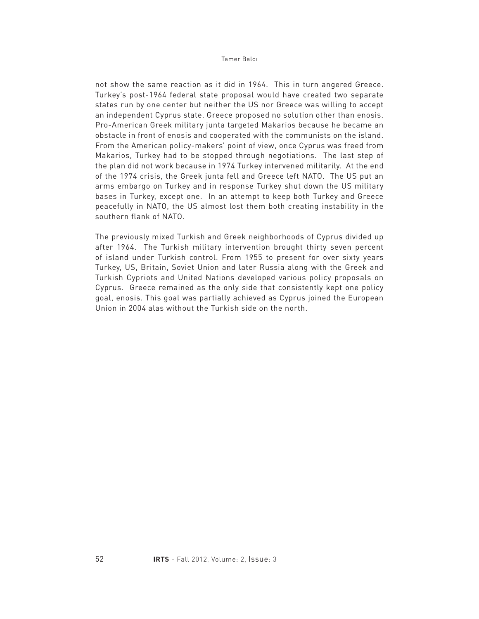not show the same reaction as it did in 1964. This in turn angered Greece. Turkey's post-1964 federal state proposal would have created two separate states run by one center but neither the US nor Greece was willing to accept an independent Cyprus state. Greece proposed no solution other than enosis. Pro-American Greek military junta targeted Makarios because he became an obstacle in front of enosis and cooperated with the communists on the island. From the American policy-makers' point of view, once Cyprus was freed from Makarios, Turkey had to be stopped through negotiations. The last step of the plan did not work because in 1974 Turkey intervened militarily. At the end of the 1974 crisis, the Greek junta fell and Greece left NATO. The US put an arms embargo on Turkey and in response Turkey shut down the US military bases in Turkey, except one. In an attempt to keep both Turkey and Greece peacefully in NATO, the US almost lost them both creating instability in the southern flank of NATO.

The previously mixed Turkish and Greek neighborhoods of Cyprus divided up after 1964. The Turkish military intervention brought thirty seven percent of island under Turkish control. From 1955 to present for over sixty years Turkey, US, Britain, Soviet Union and later Russia along with the Greek and Turkish Cypriots and United Nations developed various policy proposals on Cyprus. Greece remained as the only side that consistently kept one policy goal, enosis. This goal was partially achieved as Cyprus joined the European Union in 2004 alas without the Turkish side on the north.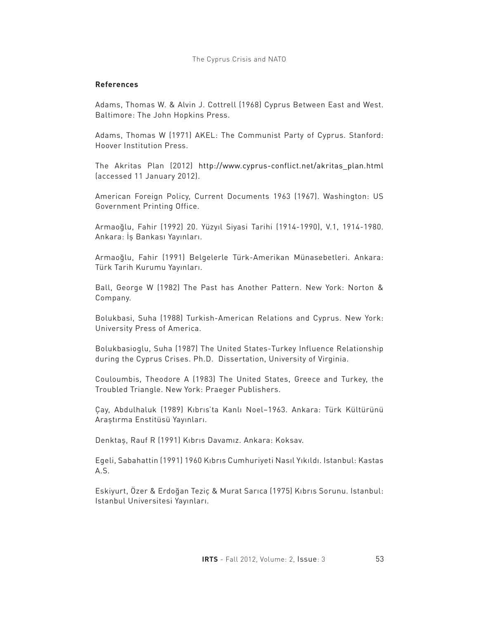# **References**

Adams, Thomas W. & Alvin J. Cottrell (1968) Cyprus Between East and West. Baltimore: The John Hopkins Press.

Adams, Thomas W (1971) AKEL: The Communist Party of Cyprus. Stanford: Hoover Institution Press.

The Akritas Plan (2012) http://www.cyprus-conflict.net/akritas\_plan.html (accessed 11 January 2012).

American Foreign Policy, Current Documents 1963 (1967). Washington: US Government Printing Office.

Armaoğlu, Fahir (1992) 20. Yüzyıl Siyasi Tarihi (1914-1990), V.1, 1914-1980. Ankara: İş Bankası Yayınları.

Armaoğlu, Fahir (1991) Belgelerle Türk-Amerikan Münasebetleri. Ankara: Türk Tarih Kurumu Yayınları.

Ball, George W (1982) The Past has Another Pattern. New York: Norton & Company.

Bolukbasi, Suha (1988) Turkish-American Relations and Cyprus. New York: University Press of America.

Bolukbasioglu, Suha (1987) The United States-Turkey Influence Relationship during the Cyprus Crises. Ph.D. Dissertation, University of Virginia.

Couloumbis, Theodore A (1983) The United States, Greece and Turkey, the Troubled Triangle. New York: Praeger Publishers.

Çay, Abdulhaluk (1989) Kıbrıs'ta Kanlı Noel–1963. Ankara: Türk Kültürünü Araştırma Enstitüsü Yayınları.

Denktaş, Rauf R (1991) Kıbrıs Davamız. Ankara: Koksav.

Egeli, Sabahattin (1991) 1960 Kıbrıs Cumhuriyeti Nasıl Yıkıldı. Istanbul: Kastas A.S.

Eskiyurt, Özer & Erdoğan Teziç & Murat Sarıca (1975) Kıbrıs Sorunu. Istanbul: Istanbul Universitesi Yayınları.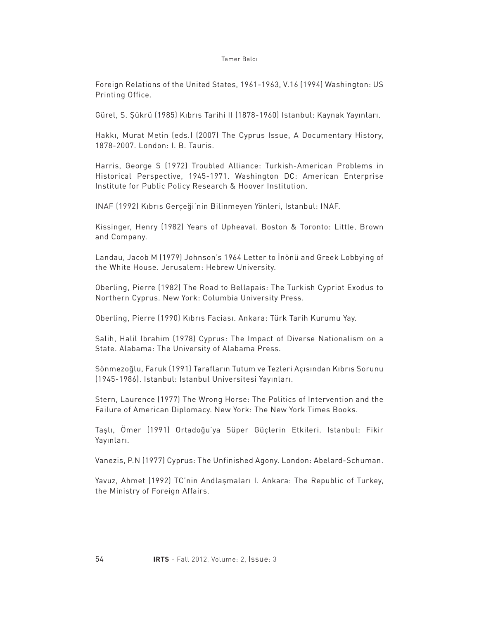Foreign Relations of the United States, 1961-1963, V.16 (1994) Washington: US Printing Office.

Gürel, S. Şükrü (1985) Kıbrıs Tarihi II (1878-1960) Istanbul: Kaynak Yayınları.

Hakkı, Murat Metin (eds.) (2007) The Cyprus Issue, A Documentary History, 1878-2007. London: I. B. Tauris.

Harris, George S (1972) Troubled Alliance: Turkish-American Problems in Historical Perspective, 1945-1971. Washington DC: American Enterprise Institute for Public Policy Research & Hoover Institution.

INAF (1992) Kıbrıs Gerçeği'nin Bilinmeyen Yönleri, Istanbul: INAF.

Kissinger, Henry (1982) Years of Upheaval. Boston & Toronto: Little, Brown and Company.

Landau, Jacob M (1979) Johnson's 1964 Letter to İnönü and Greek Lobbying of the White House. Jerusalem: Hebrew University.

Oberling, Pierre (1982) The Road to Bellapais: The Turkish Cypriot Exodus to Northern Cyprus. New York: Columbia University Press.

Oberling, Pierre (1990) Kıbrıs Faciası. Ankara: Türk Tarih Kurumu Yay.

Salih, Halil Ibrahim (1978) Cyprus: The Impact of Diverse Nationalism on a State. Alabama: The University of Alabama Press.

Sönmezoğlu, Faruk (1991) Tarafların Tutum ve Tezleri Açısından Kıbrıs Sorunu (1945-1986). Istanbul: Istanbul Universitesi Yayınları.

Stern, Laurence (1977) The Wrong Horse: The Politics of Intervention and the Failure of American Diplomacy. New York: The New York Times Books.

Taşlı, Ömer (1991) Ortadoğu'ya Süper Güçlerin Etkileri. Istanbul: Fikir Yayınları.

Vanezis, P.N (1977) Cyprus: The Unfinished Agony. London: Abelard-Schuman.

Yavuz, Ahmet (1992) TC'nin Andlaşmaları I. Ankara: The Republic of Turkey, the Ministry of Foreign Affairs.